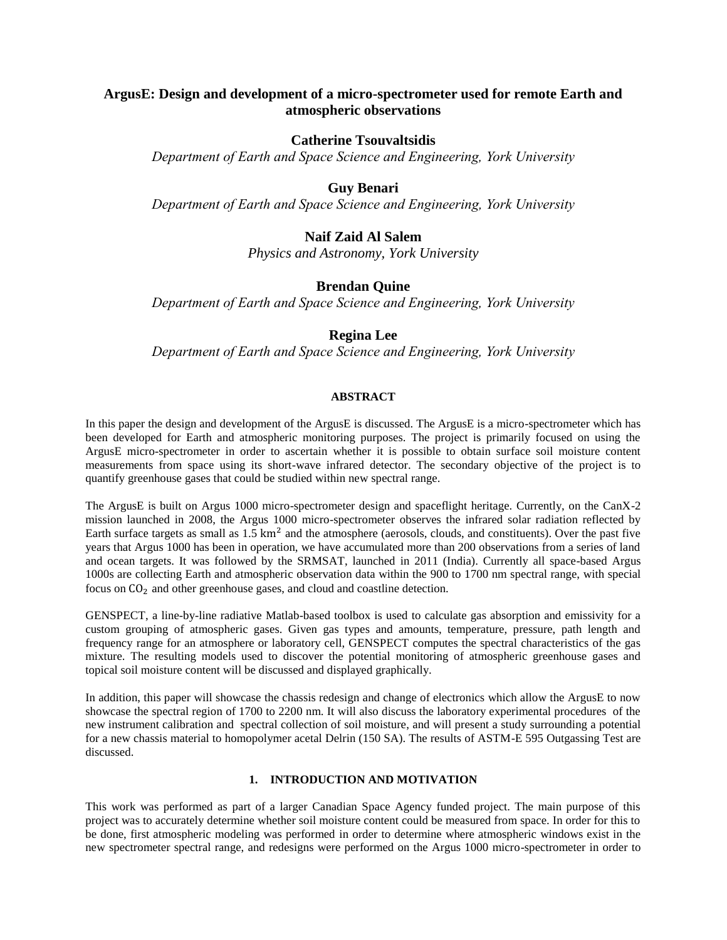# **ArgusE: Design and development of a micro-spectrometer used for remote Earth and atmospheric observations**

## **Catherine Tsouvaltsidis**

*Department of Earth and Space Science and Engineering, York University*

## **Guy Benari**

*Department of Earth and Space Science and Engineering, York University*

# **Naif Zaid Al Salem**

*Physics and Astronomy, York University*

# **Brendan Quine**

*Department of Earth and Space Science and Engineering, York University*

# **Regina Lee**

*Department of Earth and Space Science and Engineering, York University*

### **ABSTRACT**

In this paper the design and development of the ArgusE is discussed. The ArgusE is a micro-spectrometer which has been developed for Earth and atmospheric monitoring purposes. The project is primarily focused on using the ArgusE micro-spectrometer in order to ascertain whether it is possible to obtain surface soil moisture content measurements from space using its short-wave infrared detector. The secondary objective of the project is to quantify greenhouse gases that could be studied within new spectral range.

The ArgusE is built on Argus 1000 micro-spectrometer design and spaceflight heritage. Currently, on the CanX-2 mission launched in 2008, the Argus 1000 micro-spectrometer observes the infrared solar radiation reflected by Earth surface targets as small as  $1.5 \text{ km}^2$  and the atmosphere (aerosols, clouds, and constituents). Over the past five years that Argus 1000 has been in operation, we have accumulated more than 200 observations from a series of land and ocean targets. It was followed by the SRMSAT, launched in 2011 (India). Currently all space-based Argus 1000s are collecting Earth and atmospheric observation data within the 900 to 1700 nm spectral range, with special focus on  $CO<sub>2</sub>$  and other greenhouse gases, and cloud and coastline detection.

GENSPECT, a line-by-line radiative Matlab-based toolbox is used to calculate gas absorption and emissivity for a custom grouping of atmospheric gases. Given gas types and amounts, temperature, pressure, path length and frequency range for an atmosphere or laboratory cell, GENSPECT computes the spectral characteristics of the gas mixture. The resulting models used to discover the potential monitoring of atmospheric greenhouse gases and topical soil moisture content will be discussed and displayed graphically.

In addition, this paper will showcase the chassis redesign and change of electronics which allow the ArgusE to now showcase the spectral region of 1700 to 2200 nm. It will also discuss the laboratory experimental procedures of the new instrument calibration and spectral collection of soil moisture, and will present a study surrounding a potential for a new chassis material to homopolymer acetal Delrin (150 SA). The results of ASTM-E 595 Outgassing Test are discussed.

## **1. INTRODUCTION AND MOTIVATION**

This work was performed as part of a larger Canadian Space Agency funded project. The main purpose of this project was to accurately determine whether soil moisture content could be measured from space. In order for this to be done, first atmospheric modeling was performed in order to determine where atmospheric windows exist in the new spectrometer spectral range, and redesigns were performed on the Argus 1000 micro-spectrometer in order to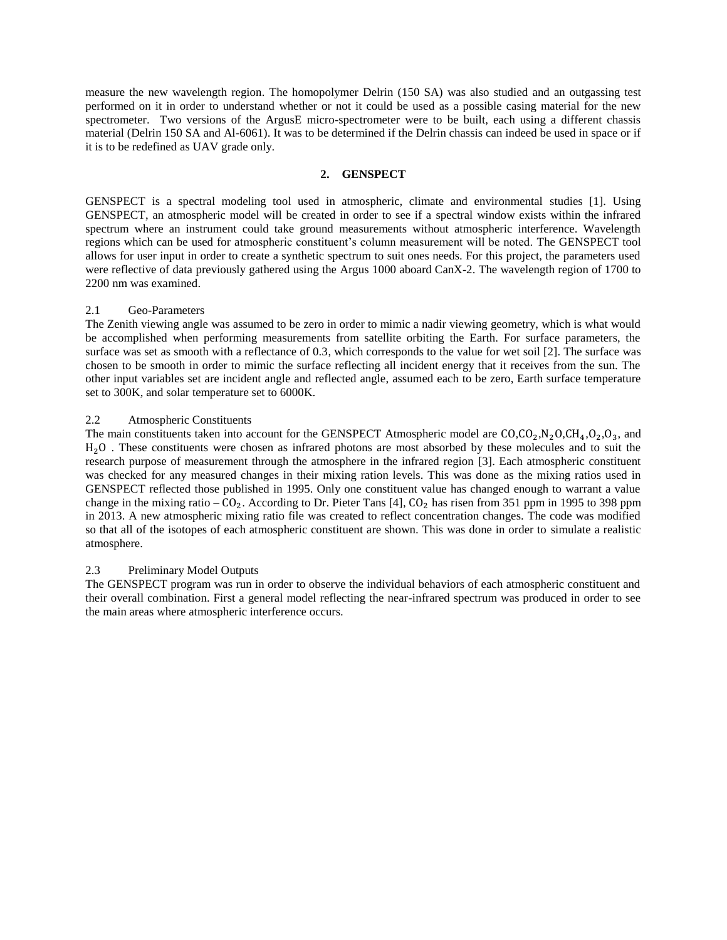measure the new wavelength region. The homopolymer Delrin (150 SA) was also studied and an outgassing test performed on it in order to understand whether or not it could be used as a possible casing material for the new spectrometer. Two versions of the ArgusE micro-spectrometer were to be built, each using a different chassis material (Delrin 150 SA and Al-6061). It was to be determined if the Delrin chassis can indeed be used in space or if it is to be redefined as UAV grade only.

## **2. GENSPECT**

GENSPECT is a spectral modeling tool used in atmospheric, climate and environmental studies [1]. Using GENSPECT, an atmospheric model will be created in order to see if a spectral window exists within the infrared spectrum where an instrument could take ground measurements without atmospheric interference. Wavelength regions which can be used for atmospheric constituent's column measurement will be noted. The GENSPECT tool allows for user input in order to create a synthetic spectrum to suit ones needs. For this project, the parameters used were reflective of data previously gathered using the Argus 1000 aboard CanX-2. The wavelength region of 1700 to 2200 nm was examined.

## 2.1 Geo-Parameters

The Zenith viewing angle was assumed to be zero in order to mimic a nadir viewing geometry, which is what would be accomplished when performing measurements from satellite orbiting the Earth. For surface parameters, the surface was set as smooth with a reflectance of 0.3, which corresponds to the value for wet soil [2]. The surface was chosen to be smooth in order to mimic the surface reflecting all incident energy that it receives from the sun. The other input variables set are incident angle and reflected angle, assumed each to be zero, Earth surface temperature set to 300K, and solar temperature set to 6000K.

## 2.2 Atmospheric Constituents

The main constituents taken into account for the GENSPECT Atmospheric model are  $CO, CO_2, N_2O, CH_4, O_2, O_3$ , and . These constituents were chosen as infrared photons are most absorbed by these molecules and to suit the research purpose of measurement through the atmosphere in the infrared region [3]. Each atmospheric constituent was checked for any measured changes in their mixing ration levels. This was done as the mixing ratios used in GENSPECT reflected those published in 1995. Only one constituent value has changed enough to warrant a value change in the mixing ratio  $-CO_2$ . According to Dr. Pieter Tans [4], CO<sub>2</sub> has risen from 351 ppm in 1995 to 398 ppm in 2013. A new atmospheric mixing ratio file was created to reflect concentration changes. The code was modified so that all of the isotopes of each atmospheric constituent are shown. This was done in order to simulate a realistic atmosphere.

## 2.3 Preliminary Model Outputs

The GENSPECT program was run in order to observe the individual behaviors of each atmospheric constituent and their overall combination. First a general model reflecting the near-infrared spectrum was produced in order to see the main areas where atmospheric interference occurs.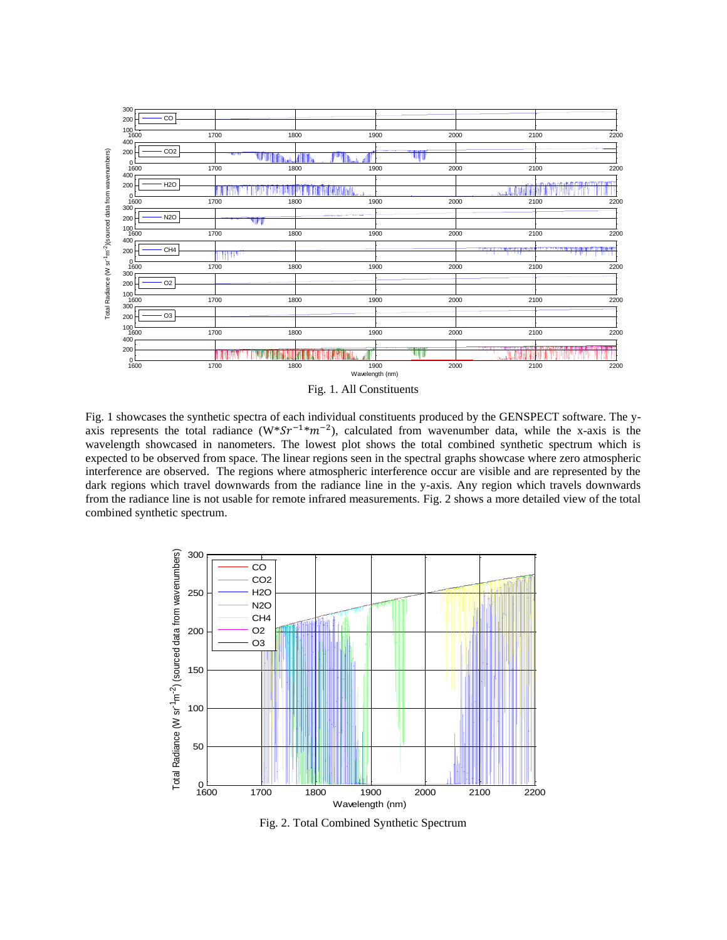

Fig. 1. All Constituents

Fig. 1 showcases the synthetic spectra of each individual constituents produced by the GENSPECT software. The yaxis represents the total radiance  $(W^*Sr^{-1*}m^{-2})$ , calculated from wavenumber data, while the x-axis is the wavelength showcased in nanometers. The lowest plot shows the total combined synthetic spectrum which is expected to be observed from space. The linear regions seen in the spectral graphs showcase where zero atmospheric interference are observed. The regions where atmospheric interference occur are visible and are represented by the dark regions which travel downwards from the radiance line in the y-axis. Any region which travels downwards from the radiance line is not usable for remote infrared measurements. Fig. 2 shows a more detailed view of the total combined synthetic spectrum.



Fig. 2. Total Combined Synthetic Spectrum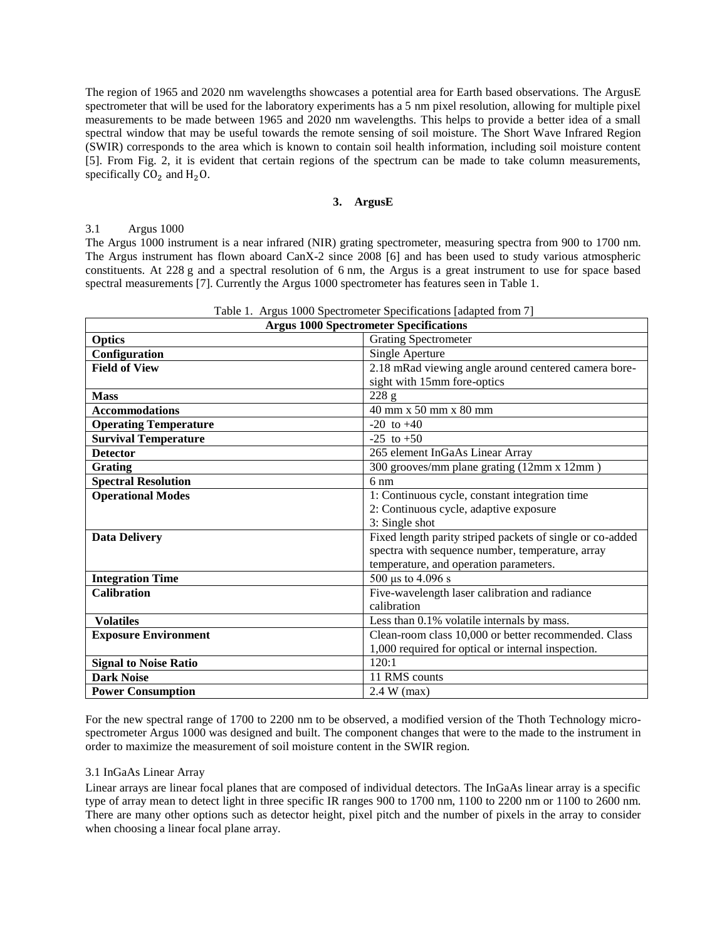The region of 1965 and 2020 nm wavelengths showcases a potential area for Earth based observations. The ArgusE spectrometer that will be used for the laboratory experiments has a 5 nm pixel resolution, allowing for multiple pixel measurements to be made between 1965 and 2020 nm wavelengths. This helps to provide a better idea of a small spectral window that may be useful towards the remote sensing of soil moisture. The Short Wave Infrared Region (SWIR) corresponds to the area which is known to contain soil health information, including soil moisture content [5]. From Fig. 2, it is evident that certain regions of the spectrum can be made to take column measurements, specifically  $CO<sub>2</sub>$  and  $H<sub>2</sub>O$ .

## **3. ArgusE**

### 3.1 Argus 1000

The Argus 1000 instrument is a near infrared (NIR) grating spectrometer, measuring spectra from 900 to 1700 nm. The Argus instrument has flown aboard CanX-2 since 2008 [6] and has been used to study various atmospheric constituents. At 228 g and a spectral resolution of 6 nm, the Argus is a great instrument to use for space based spectral measurements [7]. Currently the Argus 1000 spectrometer has features seen in Table 1.

| Table 1. Argus 1000 Spectrometer Specifications adapted from / |                                                           |  |  |
|----------------------------------------------------------------|-----------------------------------------------------------|--|--|
| <b>Argus 1000 Spectrometer Specifications</b>                  |                                                           |  |  |
| <b>Optics</b>                                                  | <b>Grating Spectrometer</b>                               |  |  |
| Configuration                                                  | Single Aperture                                           |  |  |
| <b>Field of View</b>                                           | 2.18 mRad viewing angle around centered camera bore-      |  |  |
|                                                                | sight with 15mm fore-optics                               |  |  |
| <b>Mass</b>                                                    | 228 g                                                     |  |  |
| <b>Accommodations</b>                                          | 40 mm x 50 mm x 80 mm                                     |  |  |
| <b>Operating Temperature</b>                                   | $-20$ to $+40$                                            |  |  |
| <b>Survival Temperature</b>                                    | $-25$ to $+50$                                            |  |  |
| <b>Detector</b>                                                | 265 element InGaAs Linear Array                           |  |  |
| <b>Grating</b>                                                 | 300 grooves/mm plane grating (12mm x 12mm)                |  |  |
| <b>Spectral Resolution</b>                                     | $6 \text{ nm}$                                            |  |  |
| <b>Operational Modes</b>                                       | 1: Continuous cycle, constant integration time            |  |  |
|                                                                | 2: Continuous cycle, adaptive exposure                    |  |  |
|                                                                | 3: Single shot                                            |  |  |
| <b>Data Delivery</b>                                           | Fixed length parity striped packets of single or co-added |  |  |
|                                                                | spectra with sequence number, temperature, array          |  |  |
|                                                                | temperature, and operation parameters.                    |  |  |
| <b>Integration Time</b>                                        | 500 µs to 4.096 s                                         |  |  |
| <b>Calibration</b>                                             | Five-wavelength laser calibration and radiance            |  |  |
|                                                                | calibration                                               |  |  |
| <b>Volatiles</b>                                               | Less than 0.1% volatile internals by mass.                |  |  |
| <b>Exposure Environment</b>                                    | Clean-room class 10,000 or better recommended. Class      |  |  |
|                                                                | 1,000 required for optical or internal inspection.        |  |  |
| <b>Signal to Noise Ratio</b>                                   | 120:1                                                     |  |  |
| <b>Dark Noise</b>                                              | 11 RMS counts                                             |  |  |
| <b>Power Consumption</b>                                       | $2.4 W$ (max)                                             |  |  |

Table 1. Argus 1000 Spectrometer Specifications [adapted from 7]

For the new spectral range of 1700 to 2200 nm to be observed, a modified version of the Thoth Technology microspectrometer Argus 1000 was designed and built. The component changes that were to the made to the instrument in order to maximize the measurement of soil moisture content in the SWIR region.

### 3.1 InGaAs Linear Array

Linear arrays are linear focal planes that are composed of individual detectors. The InGaAs linear array is a specific type of array mean to detect light in three specific IR ranges 900 to 1700 nm, 1100 to 2200 nm or 1100 to 2600 nm. There are many other options such as detector height, pixel pitch and the number of pixels in the array to consider when choosing a linear focal plane array.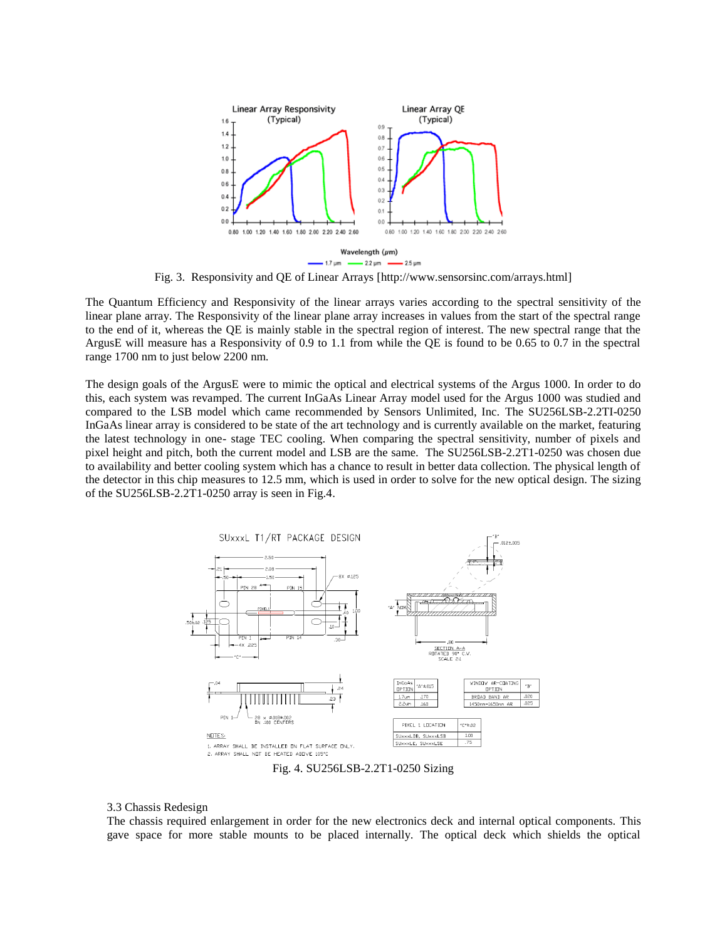

Fig. 3. Responsivity and QE of Linear Arrays [http://www.sensorsinc.com/arrays.html]

The Quantum Efficiency and Responsivity of the linear arrays varies according to the spectral sensitivity of the linear plane array. The Responsivity of the linear plane array increases in values from the start of the spectral range to the end of it, whereas the QE is mainly stable in the spectral region of interest. The new spectral range that the ArgusE will measure has a Responsivity of 0.9 to 1.1 from while the QE is found to be 0.65 to 0.7 in the spectral range 1700 nm to just below 2200 nm.

The design goals of the ArgusE were to mimic the optical and electrical systems of the Argus 1000. In order to do this, each system was revamped. The current InGaAs Linear Array model used for the Argus 1000 was studied and compared to the LSB model which came recommended by Sensors Unlimited, Inc. The SU256LSB-2.2TI-0250 InGaAs linear array is considered to be state of the art technology and is currently available on the market, featuring the latest technology in one- stage TEC cooling. When comparing the spectral sensitivity, number of pixels and pixel height and pitch, both the current model and LSB are the same. The SU256LSB-2.2T1-0250 was chosen due to availability and better cooling system which has a chance to result in better data collection. The physical length of the detector in this chip measures to 12.5 mm, which is used in order to solve for the new optical design. The sizing of the SU256LSB-2.2T1-0250 array is seen in Fig.4.



Fig. 4. SU256LSB-2.2T1-0250 Sizing

#### 3.3 Chassis Redesign

The chassis required enlargement in order for the new electronics deck and internal optical components. This gave space for more stable mounts to be placed internally. The optical deck which shields the optical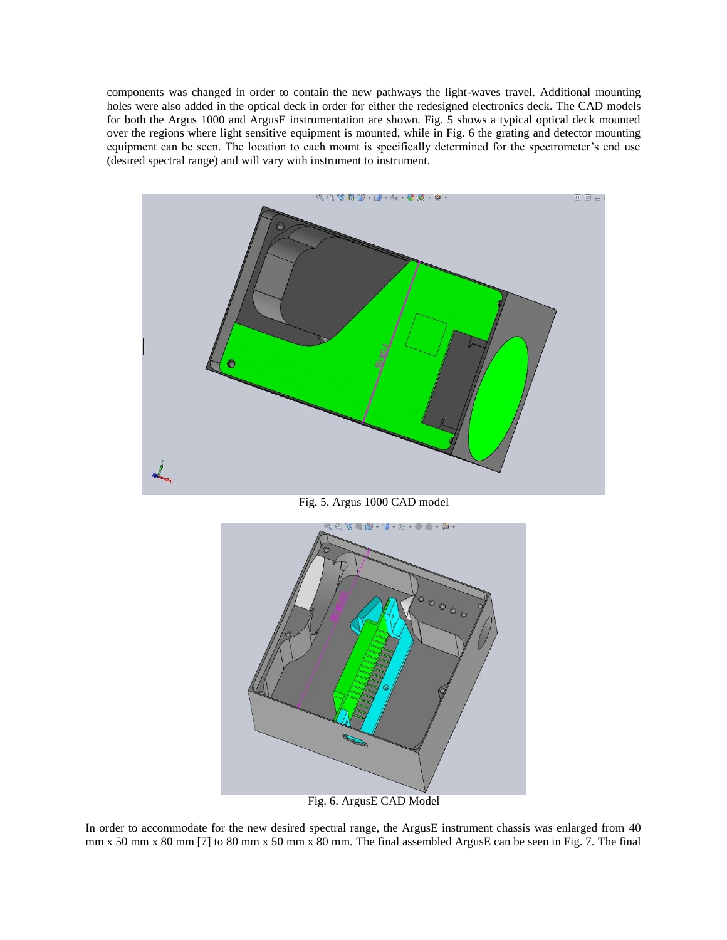components was changed in order to contain the new pathways the light-waves travel. Additional mounting holes were also added in the optical deck in order for either the redesigned electronics deck. The CAD models for both the Argus 1000 and ArgusE instrumentation are shown. Fig. 5 shows a typical optical deck mounted over the regions where light sensitive equipment is mounted, while in Fig. 6 the grating and detector mounting equipment can be seen. The location to each mount is specifically determined for the spectrometer's end use (desired spectral range) and will vary with instrument to instrument.



Fig. 5. Argus 1000 CAD model



Fig. 6. ArgusE CAD Model

In order to accommodate for the new desired spectral range, the ArgusE instrument chassis was enlarged from 40 mm x 50 mm x 80 mm [7] to 80 mm x 50 mm x 80 mm. The final assembled ArgusE can be seen in Fig. 7. The final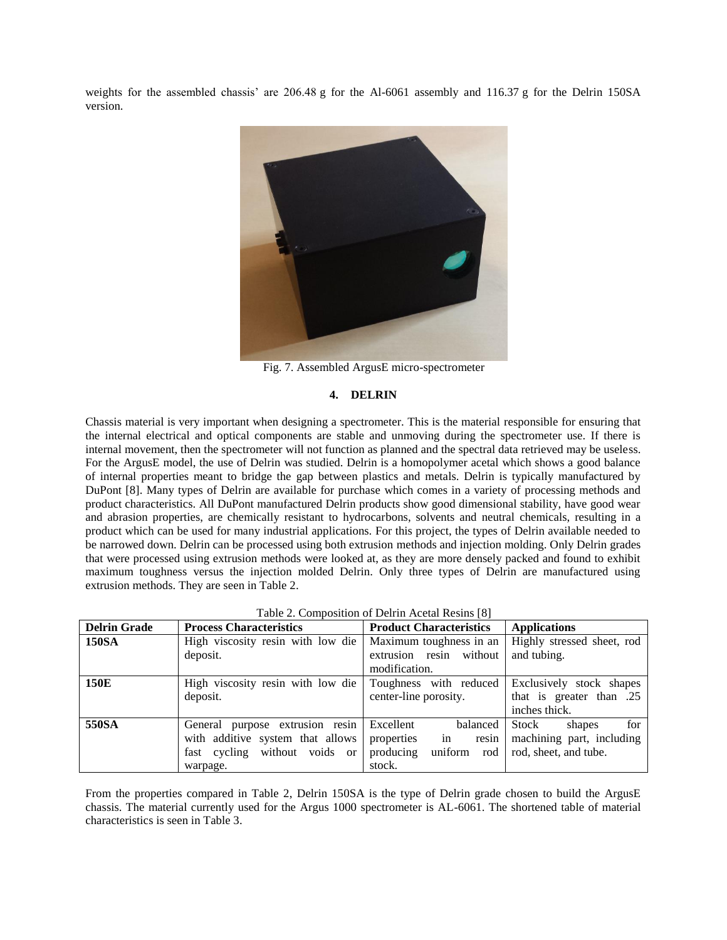weights for the assembled chassis' are 206.48 g for the Al-6061 assembly and 116.37 g for the Delrin 150SA version.



Fig. 7. Assembled ArgusE micro-spectrometer

## **4. DELRIN**

Chassis material is very important when designing a spectrometer. This is the material responsible for ensuring that the internal electrical and optical components are stable and unmoving during the spectrometer use. If there is internal movement, then the spectrometer will not function as planned and the spectral data retrieved may be useless. For the ArgusE model, the use of Delrin was studied. Delrin is a homopolymer acetal which shows a good balance of internal properties meant to bridge the gap between plastics and metals. Delrin is typically manufactured by DuPont [8]. Many types of Delrin are available for purchase which comes in a variety of processing methods and product characteristics. All DuPont manufactured Delrin products show good dimensional stability, have good wear and abrasion properties, are chemically resistant to hydrocarbons, solvents and neutral chemicals, resulting in a product which can be used for many industrial applications. For this project, the types of Delrin available needed to be narrowed down. Delrin can be processed using both extrusion methods and injection molding. Only Delrin grades that were processed using extrusion methods were looked at, as they are more densely packed and found to exhibit maximum toughness versus the injection molded Delrin. Only three types of Delrin are manufactured using extrusion methods. They are seen in Table 2.

| <b>Delrin Grade</b> | <b>Process Characteristics</b>    | <b>Product Characteristics</b> | <b>Applications</b>        |
|---------------------|-----------------------------------|--------------------------------|----------------------------|
| <b>150SA</b>        | High viscosity resin with low die | Maximum toughness in an        | Highly stressed sheet, rod |
|                     | deposit.                          | extrusion resin without        | and tubing.                |
|                     |                                   | modification.                  |                            |
| 150E                | High viscosity resin with low die | Toughness with reduced         | Exclusively stock shapes   |
|                     | deposit.                          | center-line porosity.          | that is greater than .25   |
|                     |                                   |                                | inches thick.              |
| 550SA               | General purpose extrusion resin   | balanced<br>Excellent          | for<br>Stock<br>shapes     |
|                     | with additive system that allows  | properties<br>in<br>resin      | machining part, including  |
|                     | without voids or<br>fast cycling  | producing<br>uniform<br>rod    | rod, sheet, and tube.      |
|                     | warpage.                          | stock.                         |                            |

From the properties compared in Table 2, Delrin 150SA is the type of Delrin grade chosen to build the ArgusE chassis. The material currently used for the Argus 1000 spectrometer is AL-6061. The shortened table of material characteristics is seen in Table 3.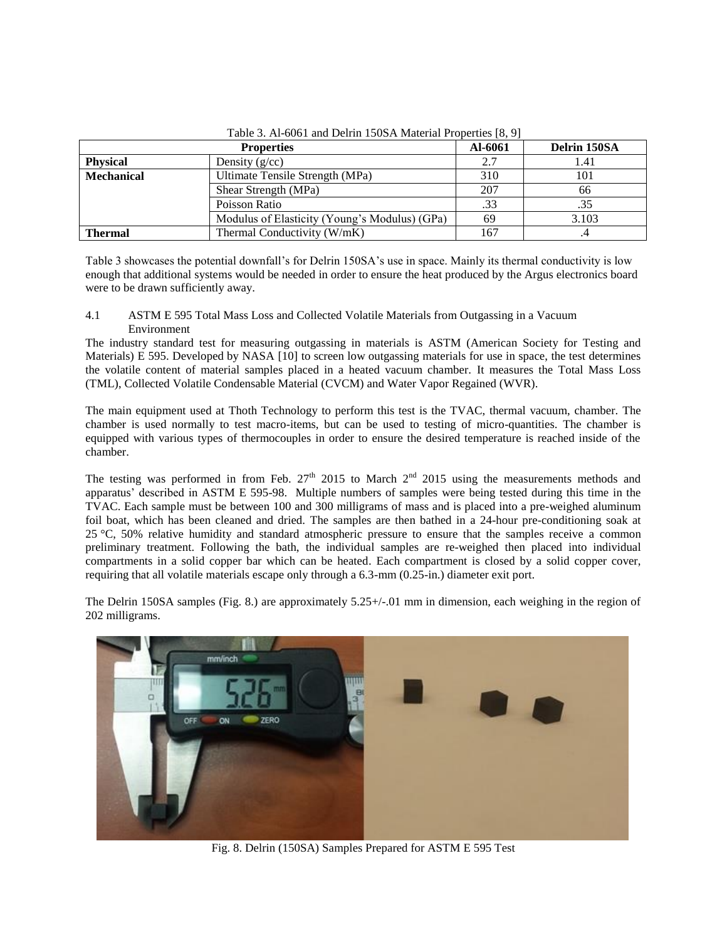|                   | <b>Properties</b>                             | Al-6061 | Delrin 150SA |
|-------------------|-----------------------------------------------|---------|--------------|
| <b>Physical</b>   | Density $(g/cc)$                              | 2.7     | 1.41         |
| <b>Mechanical</b> | Ultimate Tensile Strength (MPa)               | 310     | 101          |
|                   | Shear Strength (MPa)                          | 207     | 66           |
|                   | Poisson Ratio                                 | .33     | .35          |
|                   | Modulus of Elasticity (Young's Modulus) (GPa) | 69      | 3.103        |
| <b>Thermal</b>    | Thermal Conductivity (W/mK)                   | 167     |              |

Table 3. Al-6061 and Delrin 150SA Material Properties [8, 9]

Table 3 showcases the potential downfall's for Delrin 150SA's use in space. Mainly its thermal conductivity is low enough that additional systems would be needed in order to ensure the heat produced by the Argus electronics board were to be drawn sufficiently away.

4.1 ASTM E 595 Total Mass Loss and Collected Volatile Materials from Outgassing in a Vacuum Environment

The industry standard test for measuring outgassing in materials is ASTM (American Society for Testing and Materials) E 595. Developed by NASA [10] to screen low outgassing materials for use in space, the test determines the volatile content of material samples placed in a heated vacuum chamber. It measures the Total Mass Loss (TML), Collected Volatile Condensable Material (CVCM) and Water Vapor Regained (WVR).

The main equipment used at Thoth Technology to perform this test is the TVAC, thermal vacuum, chamber. The chamber is used normally to test macro-items, but can be used to testing of micro-quantities. The chamber is equipped with various types of thermocouples in order to ensure the desired temperature is reached inside of the chamber.

The testing was performed in from Feb.  $27<sup>th</sup>$  2015 to March  $2<sup>nd</sup>$  2015 using the measurements methods and apparatus' described in ASTM E 595-98. Multiple numbers of samples were being tested during this time in the TVAC. Each sample must be between 100 and 300 milligrams of mass and is placed into a pre-weighed aluminum foil boat, which has been cleaned and dried. The samples are then bathed in a 24-hour pre-conditioning soak at 25 °C, 50% relative humidity and standard atmospheric pressure to ensure that the samples receive a common preliminary treatment. Following the bath, the individual samples are re-weighed then placed into individual compartments in a solid copper bar which can be heated. Each compartment is closed by a solid copper cover, requiring that all volatile materials escape only through a 6.3-mm (0.25-in.) diameter exit port.

The Delrin 150SA samples (Fig. 8.) are approximately 5.25+/-.01 mm in dimension, each weighing in the region of 202 milligrams.



Fig. 8. Delrin (150SA) Samples Prepared for ASTM E 595 Test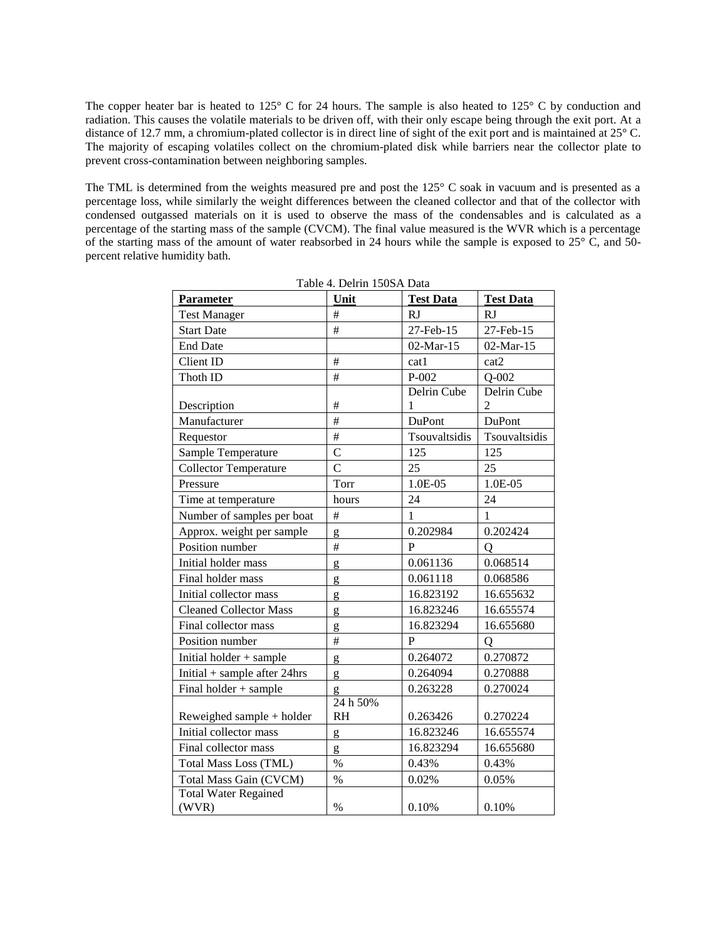The copper heater bar is heated to 125° C for 24 hours. The sample is also heated to 125° C by conduction and radiation. This causes the volatile materials to be driven off, with their only escape being through the exit port. At a distance of 12.7 mm, a chromium-plated collector is in direct line of sight of the exit port and is maintained at 25° C. The majority of escaping volatiles collect on the chromium-plated disk while barriers near the collector plate to prevent cross-contamination between neighboring samples.

The TML is determined from the weights measured pre and post the 125° C soak in vacuum and is presented as a percentage loss, while similarly the weight differences between the cleaned collector and that of the collector with condensed outgassed materials on it is used to observe the mass of the condensables and is calculated as a percentage of the starting mass of the sample (CVCM). The final value measured is the WVR which is a percentage of the starting mass of the amount of water reabsorbed in 24 hours while the sample is exposed to  $25^{\circ}$  C, and 50percent relative humidity bath.

| Parameter                            | Unit           | <b>Test Data</b> | <b>Test Data</b> |
|--------------------------------------|----------------|------------------|------------------|
| <b>Test Manager</b>                  | #              | RJ               | <b>RJ</b>        |
| <b>Start Date</b>                    | #              | 27-Feb-15        | 27-Feb-15        |
| <b>End Date</b>                      |                | 02-Mar-15        | 02-Mar-15        |
| Client ID                            | #              | cat1             | cat2             |
| Thoth ID                             | #              | $P-002$          | $Q-002$          |
|                                      |                | Delrin Cube      | Delrin Cube      |
| Description                          | #              | 1                | 2                |
| Manufacturer                         | #              | DuPont           | DuPont           |
| Requestor                            | #              | Tsouvaltsidis    | Tsouvaltsidis    |
| Sample Temperature                   | $\overline{C}$ | 125              | 125              |
| <b>Collector Temperature</b>         | $\overline{C}$ | 25               | 25               |
| Pressure                             | Torr           | 1.0E-05          | 1.0E-05          |
| Time at temperature                  | hours          | 24               | 24               |
| Number of samples per boat           | #              | $\mathbf{1}$     | $\mathbf{1}$     |
| Approx. weight per sample            | g              | 0.202984         | 0.202424         |
| Position number                      | #              | P                | O                |
| Initial holder mass                  | g              | 0.061136         | 0.068514         |
| Final holder mass                    | g              | 0.061118         | 0.068586         |
| Initial collector mass               | g              | 16.823192        | 16.655632        |
| <b>Cleaned Collector Mass</b>        | g              | 16.823246        | 16.655574        |
| Final collector mass                 | g              | 16.823294        | 16.655680        |
| Position number                      | #              | P                | $\overline{Q}$   |
| Initial holder $+$ sample            | g              | 0.264072         | 0.270872         |
| Initial $+$ sample after 24hrs       | g              | 0.264094         | 0.270888         |
| Final holder + sample                | g              | 0.263228         | 0.270024         |
|                                      | 24 h 50%       |                  |                  |
| Reweighed sample + holder            | <b>RH</b>      | 0.263426         | 0.270224         |
| Initial collector mass               | g              | 16.823246        | 16.655574        |
| Final collector mass                 | g              | 16.823294        | 16.655680        |
| <b>Total Mass Loss (TML)</b>         | $\%$           | 0.43%            | 0.43%            |
| <b>Total Mass Gain (CVCM)</b>        | $\%$           | 0.02%            | 0.05%            |
| <b>Total Water Regained</b><br>(WVR) | $\%$           | 0.10%            | 0.10%            |

Table 4. Delrin 150SA Data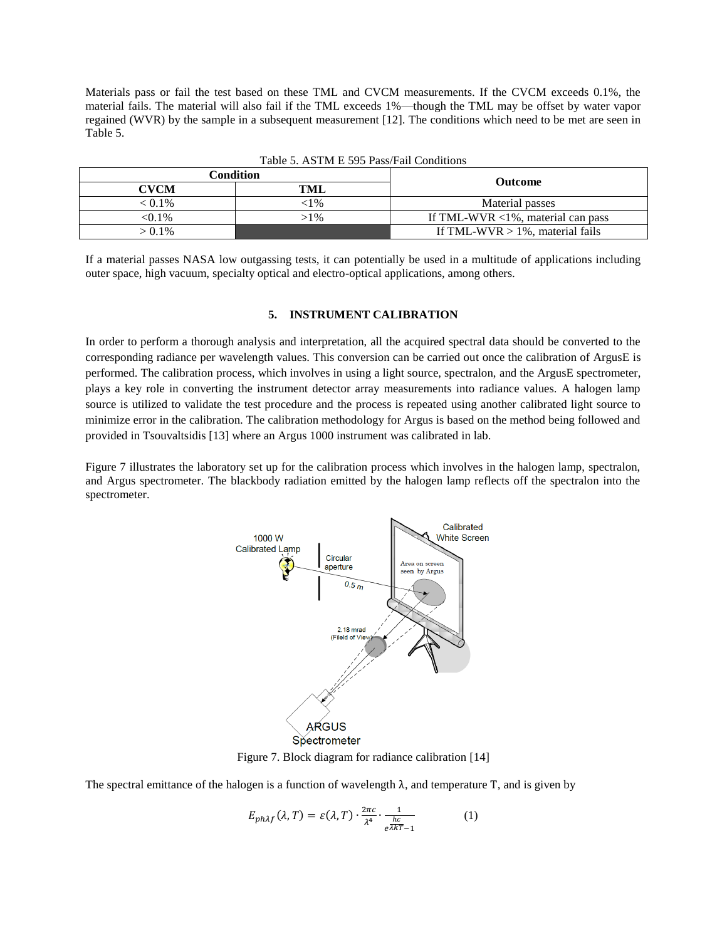Materials pass or fail the test based on these TML and CVCM measurements. If the CVCM exceeds 0.1%, the material fails. The material will also fail if the TML exceeds 1%—though the TML may be offset by water vapor regained (WVR) by the sample in a subsequent measurement [12]. The conditions which need to be met are seen in Table 5.

| Condition   |        | <b>Outcome</b>                       |  |
|-------------|--------|--------------------------------------|--|
| <b>CVCM</b> | TML    |                                      |  |
| $< 0.1\%$   | c1%    | Material passes                      |  |
| $< 0.1\%$   | $>1\%$ | If TML-WVR $<$ 1%, material can pass |  |
| $> 0.1\%$   |        | If TML-WVR $> 1\%$ , material fails  |  |

Table 5. ASTM E 595 Pass/Fail Conditions

If a material passes NASA low outgassing tests, it can potentially be used in a multitude of applications including outer space, high vacuum, specialty optical and electro-optical applications, among others.

## **5. INSTRUMENT CALIBRATION**

In order to perform a thorough analysis and interpretation, all the acquired spectral data should be converted to the corresponding radiance per wavelength values. This conversion can be carried out once the calibration of ArgusE is performed. The calibration process, which involves in using a light source, spectralon, and the ArgusE spectrometer, plays a key role in converting the instrument detector array measurements into radiance values. A halogen lamp source is utilized to validate the test procedure and the process is repeated using another calibrated light source to minimize error in the calibration. The calibration methodology for Argus is based on the method being followed and provided in Tsouvaltsidis [13] where an Argus 1000 instrument was calibrated in lab.

Figure 7 illustrates the laboratory set up for the calibration process which involves in the halogen lamp, spectralon, and Argus spectrometer. The blackbody radiation emitted by the halogen lamp reflects off the spectralon into the spectrometer.



Figure 7. Block diagram for radiance calibration [14]

The spectral emittance of the halogen is a function of wavelength  $\lambda$ , and temperature T, and is given by

$$
E_{ph\lambda f}(\lambda, T) = \varepsilon(\lambda, T) \cdot \frac{2\pi c}{\lambda^4} \cdot \frac{1}{e^{\frac{hc}{\lambda kT} - 1}} \tag{1}
$$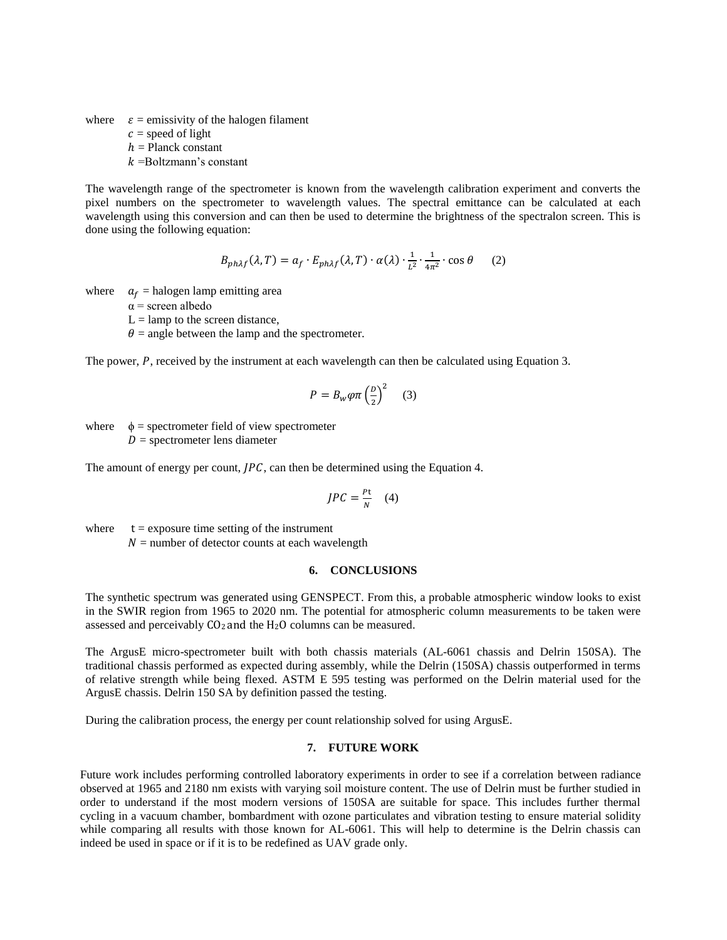where  $\varepsilon$  = emissivity of the halogen filament

 $c$  = speed of light

 $h =$  Planck constant

 $k =$ Boltzmann's constant

The wavelength range of the spectrometer is known from the wavelength calibration experiment and converts the pixel numbers on the spectrometer to wavelength values. The spectral emittance can be calculated at each wavelength using this conversion and can then be used to determine the brightness of the spectralon screen. This is done using the following equation:

$$
B_{ph\lambda f}(\lambda, T) = a_f \cdot E_{ph\lambda f}(\lambda, T) \cdot \alpha(\lambda) \cdot \frac{1}{L^2} \cdot \frac{1}{4\pi^2} \cdot \cos \theta \qquad (2)
$$

where  $a_f$  = halogen lamp emitting area

 $\alpha$  = screen albedo

 $L =$ lamp to the screen distance,

 $\theta$  = angle between the lamp and the spectrometer.

The power,  $P$ , received by the instrument at each wavelength can then be calculated using Equation 3.

$$
P = B_w \varphi \pi \left(\frac{p}{2}\right)^2 \quad (3)
$$

where  $\phi$  = spectrometer field of view spectrometer  $D =$  spectrometer lens diameter

The amount of energy per count,  $JPC$ , can then be determined using the Equation 4.

$$
JPC = \frac{Pt}{N} \quad (4)
$$

where  $t =$  exposure time setting of the instrument  $N =$  number of detector counts at each wavelength

### **6. CONCLUSIONS**

The synthetic spectrum was generated using GENSPECT. From this, a probable atmospheric window looks to exist in the SWIR region from 1965 to 2020 nm. The potential for atmospheric column measurements to be taken were assessed and perceivably  $CO<sub>2</sub>$  and the H<sub>2</sub>O columns can be measured.

The ArgusE micro-spectrometer built with both chassis materials (AL-6061 chassis and Delrin 150SA). The traditional chassis performed as expected during assembly, while the Delrin (150SA) chassis outperformed in terms of relative strength while being flexed. ASTM E 595 testing was performed on the Delrin material used for the ArgusE chassis. Delrin 150 SA by definition passed the testing.

During the calibration process, the energy per count relationship solved for using ArgusE.

### **7. FUTURE WORK**

Future work includes performing controlled laboratory experiments in order to see if a correlation between radiance observed at 1965 and 2180 nm exists with varying soil moisture content. The use of Delrin must be further studied in order to understand if the most modern versions of 150SA are suitable for space. This includes further thermal cycling in a vacuum chamber, bombardment with ozone particulates and vibration testing to ensure material solidity while comparing all results with those known for AL-6061. This will help to determine is the Delrin chassis can indeed be used in space or if it is to be redefined as UAV grade only.